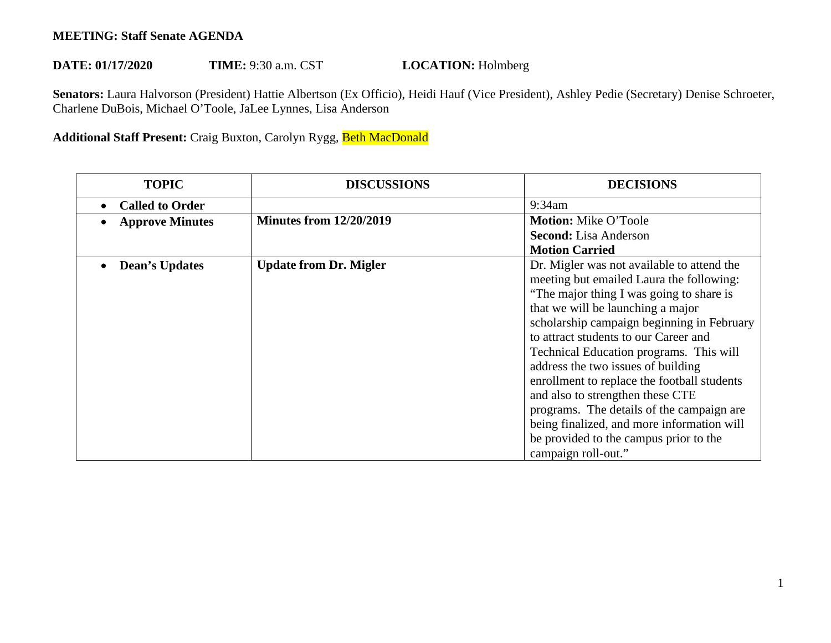## **MEETING: Staff Senate AGENDA**

## DATE: 01/17/2020 TIME: 9:30 a.m. CST **LOCATION:** Holmberg

 **Senators:** Laura Halvorson (President) Hattie Albertson (Ex Officio), Heidi Hauf (Vice President), Ashley Pedie (Secretary) Denise Schroeter, Charlene DuBois, Michael O'Toole, JaLee Lynnes, Lisa Anderson

## **Additional Staff Present:** Craig Buxton, Carolyn Rygg, Beth MacDonald

| <b>TOPIC</b>           | <b>DISCUSSIONS</b>             | <b>DECISIONS</b>                                                                                                                                                                                                                                                                                                                                                                                                                                                                                                              |
|------------------------|--------------------------------|-------------------------------------------------------------------------------------------------------------------------------------------------------------------------------------------------------------------------------------------------------------------------------------------------------------------------------------------------------------------------------------------------------------------------------------------------------------------------------------------------------------------------------|
| <b>Called to Order</b> |                                | 9:34am                                                                                                                                                                                                                                                                                                                                                                                                                                                                                                                        |
| <b>Approve Minutes</b> | <b>Minutes from 12/20/2019</b> | <b>Motion: Mike O'Toole</b>                                                                                                                                                                                                                                                                                                                                                                                                                                                                                                   |
|                        |                                | <b>Second:</b> Lisa Anderson                                                                                                                                                                                                                                                                                                                                                                                                                                                                                                  |
|                        |                                | <b>Motion Carried</b>                                                                                                                                                                                                                                                                                                                                                                                                                                                                                                         |
| <b>Dean's Updates</b>  | <b>Update from Dr. Migler</b>  | Dr. Migler was not available to attend the<br>meeting but emailed Laura the following:<br>"The major thing I was going to share is<br>that we will be launching a major<br>scholarship campaign beginning in February<br>to attract students to our Career and<br>Technical Education programs. This will<br>address the two issues of building<br>enrollment to replace the football students<br>and also to strengthen these CTE<br>programs. The details of the campaign are<br>being finalized, and more information will |
|                        |                                | be provided to the campus prior to the<br>campaign roll-out."                                                                                                                                                                                                                                                                                                                                                                                                                                                                 |